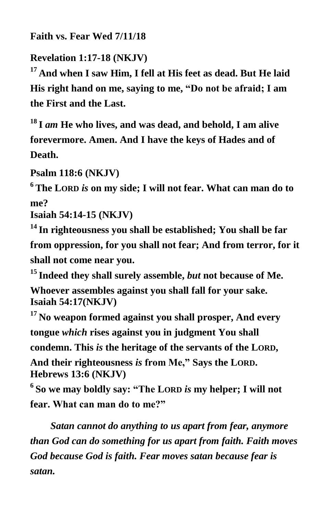**Faith vs. Fear Wed 7/11/18**

**Revelation 1:17-18 (NKJV)**

**<sup>17</sup> And when I saw Him, I fell at His feet as dead. But He laid His right hand on me, saying to me, "Do not be afraid; I am the First and the Last.**

**<sup>18</sup> I** *am* **He who lives, and was dead, and behold, I am alive forevermore. Amen. And I have the keys of Hades and of Death.**

**Psalm 118:6 (NKJV)**

**<sup>6</sup> The LORD** *is* **on my side; I will not fear. What can man do to me?**

**Isaiah 54:14-15 (NKJV)**

**<sup>14</sup> In righteousness you shall be established; You shall be far from oppression, for you shall not fear; And from terror, for it shall not come near you.**

**<sup>15</sup> Indeed they shall surely assemble,** *but* **not because of Me.** 

**Whoever assembles against you shall fall for your sake. Isaiah 54:17(NKJV)**

**<sup>17</sup> No weapon formed against you shall prosper, And every tongue** *which* **rises against you in judgment You shall** 

**condemn. This** *is* **the heritage of the servants of the LORD,**

**And their righteousness** *is* **from Me," Says the LORD. Hebrews 13:6 (NKJV)**

**6 So we may boldly say: "The LORD** *is* **my helper; I will not fear. What can man do to me?"**

*Satan cannot do anything to us apart from fear, anymore than God can do something for us apart from faith. Faith moves God because God is faith. Fear moves satan because fear is satan.*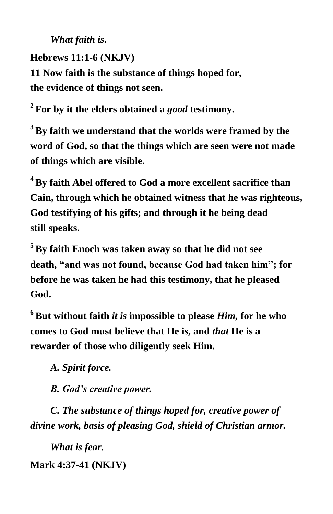*What faith is.*

**Hebrews 11:1-6 (NKJV) 11 Now faith is the substance of things hoped for, the evidence of things not seen.**

**2 For by it the elders obtained a** *good* **testimony.**

**<sup>3</sup> By faith we understand that the worlds were framed by the word of God, so that the things which are seen were not made of things which are visible.**

**<sup>4</sup> By faith Abel offered to God a more excellent sacrifice than Cain, through which he obtained witness that he was righteous, God testifying of his gifts; and through it he being dead still speaks.**

**<sup>5</sup> By faith Enoch was taken away so that he did not see death, "and was not found, because God had taken him"; for before he was taken he had this testimony, that he pleased God.**

**<sup>6</sup> But without faith** *it is* **impossible to please** *Him,* **for he who comes to God must believe that He is, and** *that* **He is a rewarder of those who diligently seek Him.**

*A. Spirit force.*

 *B. God's creative power.*

 *C. The substance of things hoped for, creative power of divine work, basis of pleasing God, shield of Christian armor.*

 *What is fear.* **Mark 4:37-41 (NKJV)**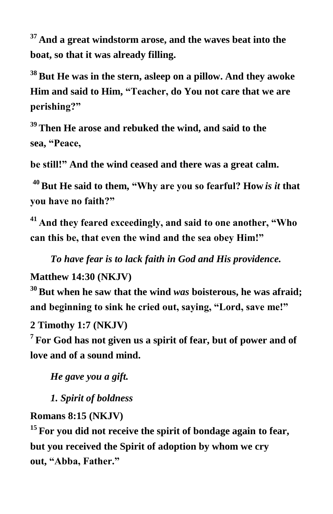**<sup>37</sup> And a great windstorm arose, and the waves beat into the boat, so that it was already filling.**

**<sup>38</sup> But He was in the stern, asleep on a pillow. And they awoke Him and said to Him, "Teacher, do You not care that we are perishing?"**

**<sup>39</sup> Then He arose and rebuked the wind, and said to the sea, "Peace,**

**be still!" And the wind ceased and there was a great calm.**

**<sup>40</sup>But He said to them, "Why are you so fearful? How** *is it* **that you have no faith?"**

**<sup>41</sup> And they feared exceedingly, and said to one another, "Who can this be, that even the wind and the sea obey Him!"**

*To have fear is to lack faith in God and His providence.*

**Matthew 14:30 (NKJV)**

**<sup>30</sup> But when he saw that the wind** *was* **boisterous, he was afraid; and beginning to sink he cried out, saying, "Lord, save me!"**

**2 Timothy 1:7 (NKJV)**

**7 For God has not given us a spirit of fear, but of power and of love and of a sound mind.**

 *He gave you a gift.*

 *1. Spirit of boldness*

## **Romans 8:15 (NKJV)**

**<sup>15</sup> For you did not receive the spirit of bondage again to fear, but you received the Spirit of adoption by whom we cry out, "Abba, Father."**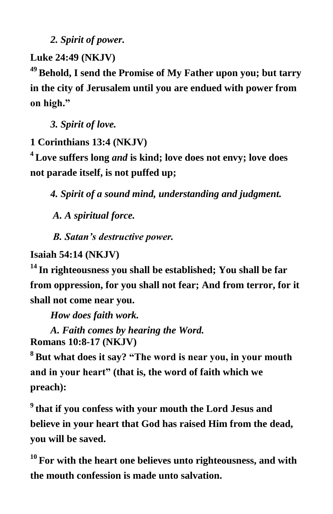*2. Spirit of power.*

**Luke 24:49 (NKJV)**

**<sup>49</sup> Behold, I send the Promise of My Father upon you; but tarry in the city of Jerusalem until you are endued with power from on high."**

*3. Spirit of love.*

**1 Corinthians 13:4 (NKJV)**

**<sup>4</sup> Love suffers long** *and* **is kind; love does not envy; love does not parade itself, is not puffed up;**

*4. Spirit of a sound mind, understanding and judgment.*

 *A. A spiritual force.*

 *B. Satan's destructive power.*

**Isaiah 54:14 (NKJV)**

**<sup>14</sup> In righteousness you shall be established; You shall be far from oppression, for you shall not fear; And from terror, for it shall not come near you.**

*How does faith work.*

 *A. Faith comes by hearing the Word.* **Romans 10:8-17 (NKJV)**

**<sup>8</sup> But what does it say? "The word is near you, in your mouth and in your heart" (that is, the word of faith which we preach):**

**9 that if you confess with your mouth the Lord Jesus and believe in your heart that God has raised Him from the dead, you will be saved.**

**<sup>10</sup> For with the heart one believes unto righteousness, and with the mouth confession is made unto salvation.**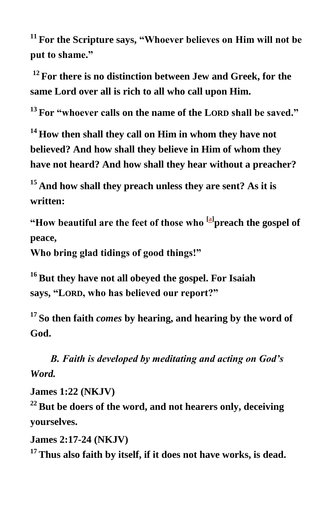**<sup>11</sup> For the Scripture says, "Whoever believes on Him will not be put to shame."**

**<sup>12</sup> For there is no distinction between Jew and Greek, for the same Lord over all is rich to all who call upon Him.**

**<sup>13</sup> For "whoever calls on the name of the LORD shall be saved."**

**<sup>14</sup> How then shall they call on Him in whom they have not believed? And how shall they believe in Him of whom they have not heard? And how shall they hear without a preacher?**

**<sup>15</sup> And how shall they preach unless they are sent? As it is written:**

**"How beautiful are the feet of those who [\[a\]](https://www.biblegateway.com/passage/?search=rom+10%3A8-17&version=NKJV#fen-NKJV-28204a) preach the gospel of peace,**

**Who bring glad tidings of good things!"**

**<sup>16</sup> But they have not all obeyed the gospel. For Isaiah says, "LORD, who has believed our report?"**

**<sup>17</sup> So then faith** *comes* **by hearing, and hearing by the word of God.** 

*B. Faith is developed by meditating and acting on God's Word.*

**James 1:22 (NKJV)**

**<sup>22</sup> But be doers of the word, and not hearers only, deceiving yourselves.**

**James 2:17-24 (NKJV)**

**<sup>17</sup> Thus also faith by itself, if it does not have works, is dead.**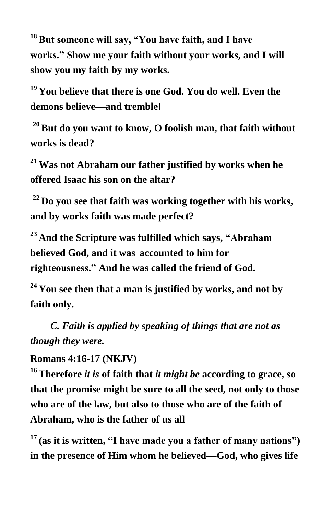**<sup>18</sup> But someone will say, "You have faith, and I have works." Show me your faith without your works, and I will show you my faith by my works.**

**<sup>19</sup> You believe that there is one God. You do well. Even the demons believe—and tremble!**

**<sup>20</sup>But do you want to know, O foolish man, that faith without works is dead?**

**<sup>21</sup> Was not Abraham our father justified by works when he offered Isaac his son on the altar?**

**<sup>22</sup> Do you see that faith was working together with his works, and by works faith was made perfect?**

**<sup>23</sup> And the Scripture was fulfilled which says, "Abraham believed God, and it was accounted to him for righteousness." And he was called the friend of God.**

**<sup>24</sup> You see then that a man is justified by works, and not by faith only.**

 *C. Faith is applied by speaking of things that are not as though they were.*

**Romans 4:16-17 (NKJV)**

**<sup>16</sup> Therefore** *it is* **of faith that** *it might be* **according to grace, so that the promise might be sure to all the seed, not only to those who are of the law, but also to those who are of the faith of Abraham, who is the father of us all**

**<sup>17</sup> (as it is written, "I have made you a father of many nations") in the presence of Him whom he believed—God, who gives life**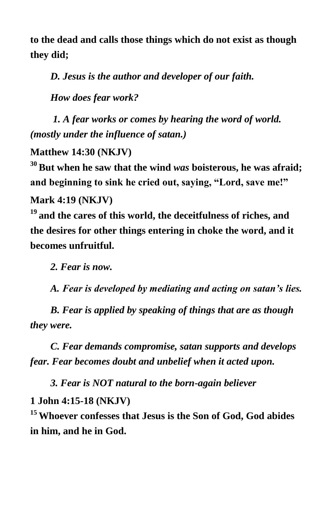**to the dead and calls those things which do not exist as though they did;**

*D. Jesus is the author and developer of our faith.*

 *How does fear work?*

*1. A fear works or comes by hearing the word of world. (mostly under the influence of satan.)*

**Matthew 14:30 (NKJV)**

**<sup>30</sup> But when he saw that the wind** *was* **boisterous, he was afraid; and beginning to sink he cried out, saying, "Lord, save me!"**

**Mark 4:19 (NKJV)**

**<sup>19</sup> and the cares of this world, the deceitfulness of riches, and the desires for other things entering in choke the word, and it becomes unfruitful.**

*2. Fear is now.*

 *A. Fear is developed by mediating and acting on satan's lies.*

 *B. Fear is applied by speaking of things that are as though they were.*

 *C. Fear demands compromise, satan supports and develops fear. Fear becomes doubt and unbelief when it acted upon.*

 *3. Fear is NOT natural to the born-again believer*

## **1 John 4:15-18 (NKJV)**

**<sup>15</sup> Whoever confesses that Jesus is the Son of God, God abides in him, and he in God.**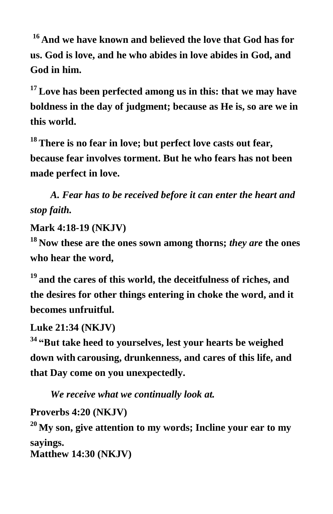**<sup>16</sup> And we have known and believed the love that God has for us. God is love, and he who abides in love abides in God, and God in him.**

**<sup>17</sup> Love has been perfected among us in this: that we may have boldness in the day of judgment; because as He is, so are we in this world.**

**<sup>18</sup> There is no fear in love; but perfect love casts out fear, because fear involves torment. But he who fears has not been made perfect in love.**

*A. Fear has to be received before it can enter the heart and stop faith.*

**Mark 4:18-19 (NKJV)**

**<sup>18</sup> Now these are the ones sown among thorns;** *they are* **the ones who hear the word,**

**<sup>19</sup> and the cares of this world, the deceitfulness of riches, and the desires for other things entering in choke the word, and it becomes unfruitful.**

**Luke 21:34 (NKJV)**

**<sup>34</sup> "But take heed to yourselves, lest your hearts be weighed down with carousing, drunkenness, and cares of this life, and that Day come on you unexpectedly.**

 *We receive what we continually look at.*

**Proverbs 4:20 (NKJV)**

**<sup>20</sup> My son, give attention to my words; Incline your ear to my sayings. Matthew 14:30 (NKJV)**